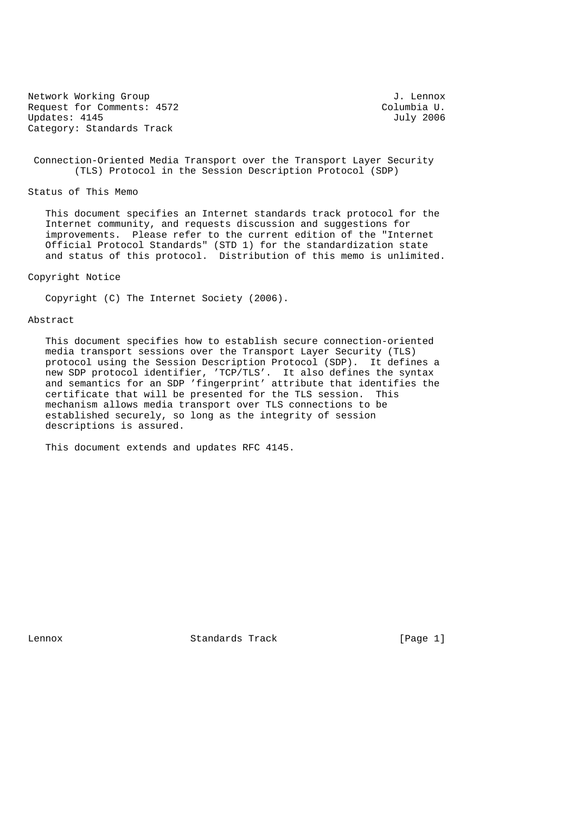Network Working Group 3. Lennox 3. Lennox Request for Comments: 4572 Columbia U.<br>Updates: 4145 July 2006 Updates: 4145 Category: Standards Track

 Connection-Oriented Media Transport over the Transport Layer Security (TLS) Protocol in the Session Description Protocol (SDP)

Status of This Memo

 This document specifies an Internet standards track protocol for the Internet community, and requests discussion and suggestions for improvements. Please refer to the current edition of the "Internet Official Protocol Standards" (STD 1) for the standardization state and status of this protocol. Distribution of this memo is unlimited.

Copyright Notice

Copyright (C) The Internet Society (2006).

#### Abstract

 This document specifies how to establish secure connection-oriented media transport sessions over the Transport Layer Security (TLS) protocol using the Session Description Protocol (SDP). It defines a new SDP protocol identifier, 'TCP/TLS'. It also defines the syntax and semantics for an SDP 'fingerprint' attribute that identifies the certificate that will be presented for the TLS session. This mechanism allows media transport over TLS connections to be established securely, so long as the integrity of session descriptions is assured.

This document extends and updates RFC 4145.

Lennox **Standards Track** [Page 1]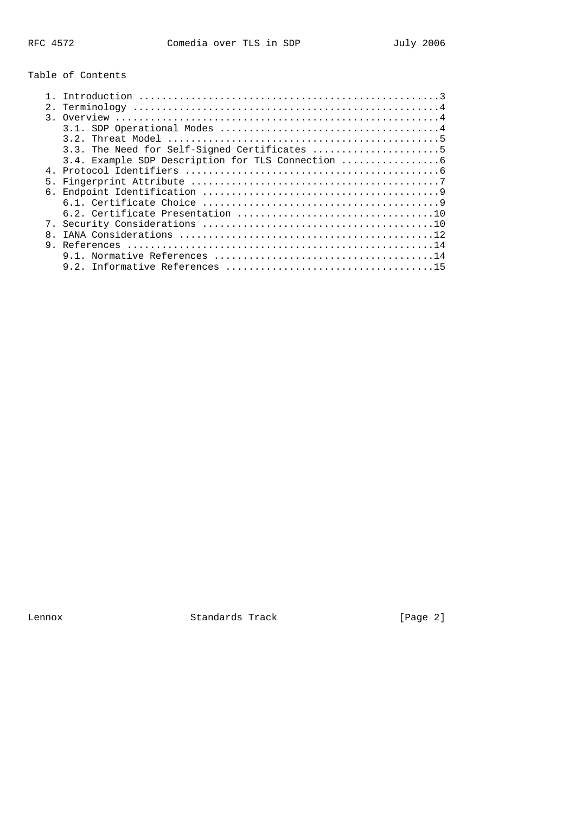Table of Contents

| $\mathcal{R}$ |                                                 |
|---------------|-------------------------------------------------|
|               |                                                 |
|               |                                                 |
|               | 3.3. The Need for Self-Signed Certificates 5    |
|               | 3.4. Example SDP Description for TLS Connection |
|               |                                                 |
| 5.            |                                                 |
|               |                                                 |
|               |                                                 |
|               |                                                 |
|               |                                                 |
|               |                                                 |
|               |                                                 |
|               |                                                 |
|               |                                                 |

Lennox Standards Track [Page 2]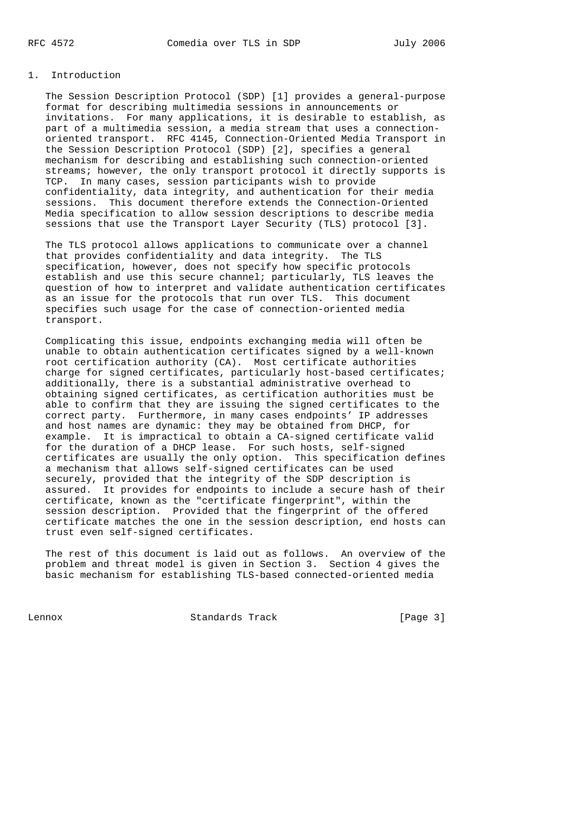# 1. Introduction

 The Session Description Protocol (SDP) [1] provides a general-purpose format for describing multimedia sessions in announcements or invitations. For many applications, it is desirable to establish, as part of a multimedia session, a media stream that uses a connection oriented transport. RFC 4145, Connection-Oriented Media Transport in the Session Description Protocol (SDP) [2], specifies a general mechanism for describing and establishing such connection-oriented streams; however, the only transport protocol it directly supports is TCP. In many cases, session participants wish to provide confidentiality, data integrity, and authentication for their media sessions. This document therefore extends the Connection-Oriented Media specification to allow session descriptions to describe media sessions that use the Transport Layer Security (TLS) protocol [3].

 The TLS protocol allows applications to communicate over a channel that provides confidentiality and data integrity. The TLS specification, however, does not specify how specific protocols establish and use this secure channel; particularly, TLS leaves the question of how to interpret and validate authentication certificates as an issue for the protocols that run over TLS. This document specifies such usage for the case of connection-oriented media transport.

 Complicating this issue, endpoints exchanging media will often be unable to obtain authentication certificates signed by a well-known root certification authority (CA). Most certificate authorities charge for signed certificates, particularly host-based certificates; additionally, there is a substantial administrative overhead to obtaining signed certificates, as certification authorities must be able to confirm that they are issuing the signed certificates to the correct party. Furthermore, in many cases endpoints' IP addresses and host names are dynamic: they may be obtained from DHCP, for example. It is impractical to obtain a CA-signed certificate valid for the duration of a DHCP lease. For such hosts, self-signed certificates are usually the only option. This specification defines a mechanism that allows self-signed certificates can be used securely, provided that the integrity of the SDP description is assured. It provides for endpoints to include a secure hash of their certificate, known as the "certificate fingerprint", within the session description. Provided that the fingerprint of the offered certificate matches the one in the session description, end hosts can trust even self-signed certificates.

 The rest of this document is laid out as follows. An overview of the problem and threat model is given in Section 3. Section 4 gives the basic mechanism for establishing TLS-based connected-oriented media

Lennox Standards Track [Page 3]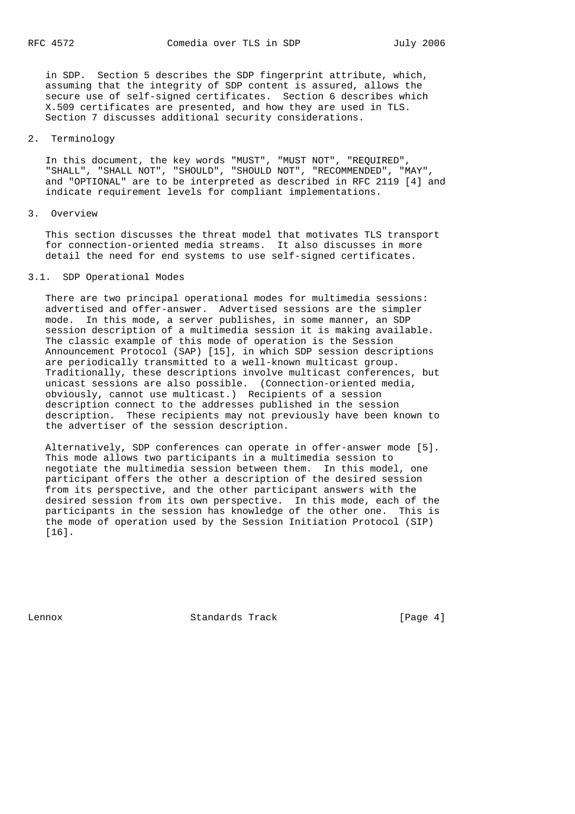in SDP. Section 5 describes the SDP fingerprint attribute, which, assuming that the integrity of SDP content is assured, allows the secure use of self-signed certificates. Section 6 describes which X.509 certificates are presented, and how they are used in TLS. Section 7 discusses additional security considerations.

## 2. Terminology

 In this document, the key words "MUST", "MUST NOT", "REQUIRED", "SHALL", "SHALL NOT", "SHOULD", "SHOULD NOT", "RECOMMENDED", "MAY", and "OPTIONAL" are to be interpreted as described in RFC 2119 [4] and indicate requirement levels for compliant implementations.

#### 3. Overview

 This section discusses the threat model that motivates TLS transport for connection-oriented media streams. It also discusses in more detail the need for end systems to use self-signed certificates.

# 3.1. SDP Operational Modes

 There are two principal operational modes for multimedia sessions: advertised and offer-answer. Advertised sessions are the simpler mode. In this mode, a server publishes, in some manner, an SDP session description of a multimedia session it is making available. The classic example of this mode of operation is the Session Announcement Protocol (SAP) [15], in which SDP session descriptions are periodically transmitted to a well-known multicast group. Traditionally, these descriptions involve multicast conferences, but unicast sessions are also possible. (Connection-oriented media, obviously, cannot use multicast.) Recipients of a session description connect to the addresses published in the session description. These recipients may not previously have been known to the advertiser of the session description.

 Alternatively, SDP conferences can operate in offer-answer mode [5]. This mode allows two participants in a multimedia session to negotiate the multimedia session between them. In this model, one participant offers the other a description of the desired session from its perspective, and the other participant answers with the desired session from its own perspective. In this mode, each of the participants in the session has knowledge of the other one. This is the mode of operation used by the Session Initiation Protocol (SIP) [16].

Lennox Standards Track [Page 4]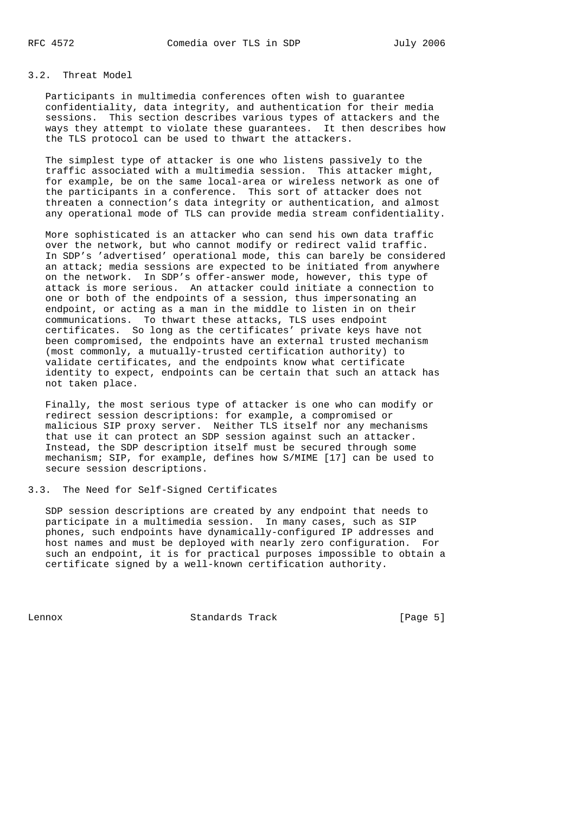## 3.2. Threat Model

 Participants in multimedia conferences often wish to guarantee confidentiality, data integrity, and authentication for their media sessions. This section describes various types of attackers and the ways they attempt to violate these guarantees. It then describes how the TLS protocol can be used to thwart the attackers.

 The simplest type of attacker is one who listens passively to the traffic associated with a multimedia session. This attacker might, for example, be on the same local-area or wireless network as one of the participants in a conference. This sort of attacker does not threaten a connection's data integrity or authentication, and almost any operational mode of TLS can provide media stream confidentiality.

 More sophisticated is an attacker who can send his own data traffic over the network, but who cannot modify or redirect valid traffic. In SDP's 'advertised' operational mode, this can barely be considered an attack; media sessions are expected to be initiated from anywhere on the network. In SDP's offer-answer mode, however, this type of attack is more serious. An attacker could initiate a connection to one or both of the endpoints of a session, thus impersonating an endpoint, or acting as a man in the middle to listen in on their communications. To thwart these attacks, TLS uses endpoint certificates. So long as the certificates' private keys have not been compromised, the endpoints have an external trusted mechanism (most commonly, a mutually-trusted certification authority) to validate certificates, and the endpoints know what certificate identity to expect, endpoints can be certain that such an attack has not taken place.

 Finally, the most serious type of attacker is one who can modify or redirect session descriptions: for example, a compromised or malicious SIP proxy server. Neither TLS itself nor any mechanisms that use it can protect an SDP session against such an attacker. Instead, the SDP description itself must be secured through some mechanism; SIP, for example, defines how S/MIME [17] can be used to secure session descriptions.

#### 3.3. The Need for Self-Signed Certificates

 SDP session descriptions are created by any endpoint that needs to participate in a multimedia session. In many cases, such as SIP phones, such endpoints have dynamically-configured IP addresses and host names and must be deployed with nearly zero configuration. For such an endpoint, it is for practical purposes impossible to obtain a certificate signed by a well-known certification authority.

Lennox Standards Track [Page 5]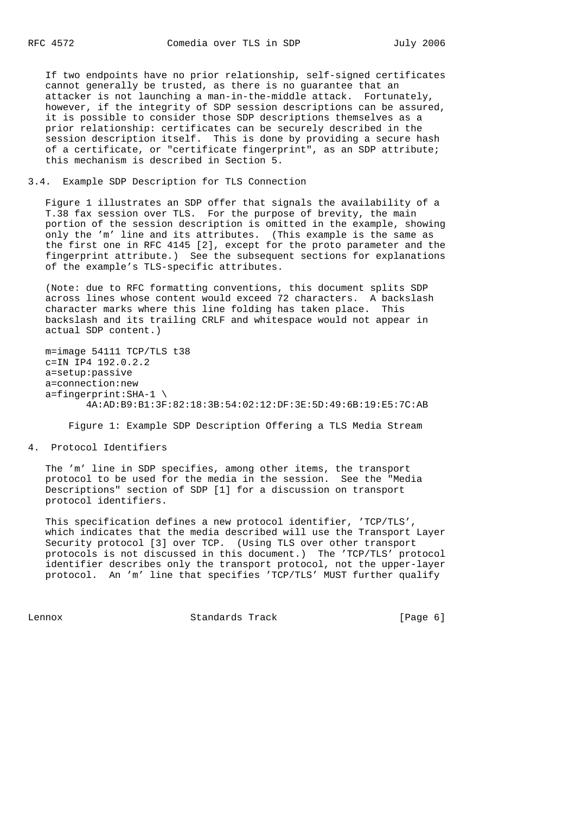If two endpoints have no prior relationship, self-signed certificates cannot generally be trusted, as there is no guarantee that an attacker is not launching a man-in-the-middle attack. Fortunately, however, if the integrity of SDP session descriptions can be assured, it is possible to consider those SDP descriptions themselves as a prior relationship: certificates can be securely described in the session description itself. This is done by providing a secure hash of a certificate, or "certificate fingerprint", as an SDP attribute; this mechanism is described in Section 5.

#### 3.4. Example SDP Description for TLS Connection

 Figure 1 illustrates an SDP offer that signals the availability of a T.38 fax session over TLS. For the purpose of brevity, the main portion of the session description is omitted in the example, showing only the 'm' line and its attributes. (This example is the same as the first one in RFC 4145 [2], except for the proto parameter and the fingerprint attribute.) See the subsequent sections for explanations of the example's TLS-specific attributes.

 (Note: due to RFC formatting conventions, this document splits SDP across lines whose content would exceed 72 characters. A backslash character marks where this line folding has taken place. This backslash and its trailing CRLF and whitespace would not appear in actual SDP content.)

 m=image 54111 TCP/TLS t38 c=IN IP4 192.0.2.2 a=setup:passive a=connection:new a=fingerprint:SHA-1 \ 4A:AD:B9:B1:3F:82:18:3B:54:02:12:DF:3E:5D:49:6B:19:E5:7C:AB

Figure 1: Example SDP Description Offering a TLS Media Stream

4. Protocol Identifiers

 The 'm' line in SDP specifies, among other items, the transport protocol to be used for the media in the session. See the "Media Descriptions" section of SDP [1] for a discussion on transport protocol identifiers.

 This specification defines a new protocol identifier, 'TCP/TLS', which indicates that the media described will use the Transport Layer Security protocol [3] over TCP. (Using TLS over other transport protocols is not discussed in this document.) The 'TCP/TLS' protocol identifier describes only the transport protocol, not the upper-layer protocol. An 'm' line that specifies 'TCP/TLS' MUST further qualify

Lennox **Example 2** Standards Track **Example 2** [Page 6]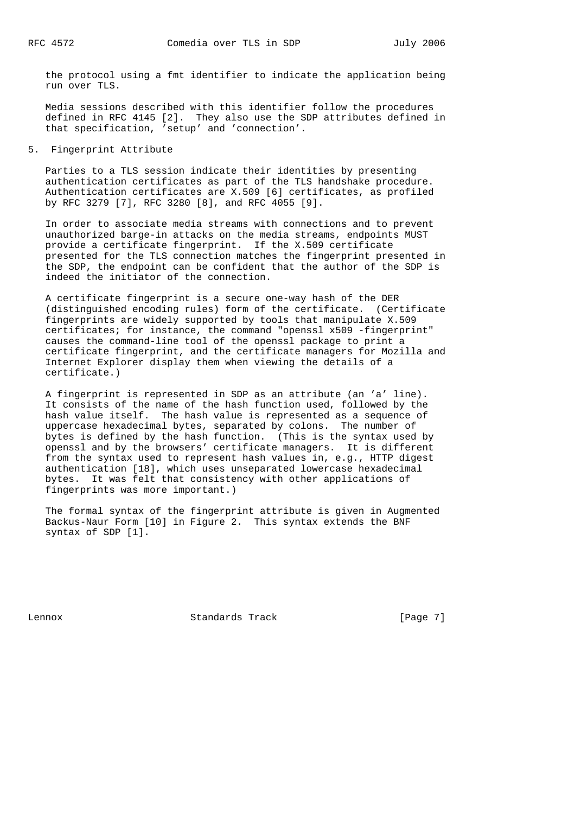the protocol using a fmt identifier to indicate the application being run over TLS.

 Media sessions described with this identifier follow the procedures defined in RFC 4145 [2]. They also use the SDP attributes defined in that specification, 'setup' and 'connection'.

## 5. Fingerprint Attribute

 Parties to a TLS session indicate their identities by presenting authentication certificates as part of the TLS handshake procedure. Authentication certificates are X.509 [6] certificates, as profiled by RFC 3279 [7], RFC 3280 [8], and RFC 4055 [9].

 In order to associate media streams with connections and to prevent unauthorized barge-in attacks on the media streams, endpoints MUST provide a certificate fingerprint. If the X.509 certificate presented for the TLS connection matches the fingerprint presented in the SDP, the endpoint can be confident that the author of the SDP is indeed the initiator of the connection.

 A certificate fingerprint is a secure one-way hash of the DER (distinguished encoding rules) form of the certificate. (Certificate fingerprints are widely supported by tools that manipulate X.509 certificates; for instance, the command "openssl x509 -fingerprint" causes the command-line tool of the openssl package to print a certificate fingerprint, and the certificate managers for Mozilla and Internet Explorer display them when viewing the details of a certificate.)

 A fingerprint is represented in SDP as an attribute (an 'a' line). It consists of the name of the hash function used, followed by the hash value itself. The hash value is represented as a sequence of uppercase hexadecimal bytes, separated by colons. The number of bytes is defined by the hash function. (This is the syntax used by openssl and by the browsers' certificate managers. It is different from the syntax used to represent hash values in, e.g., HTTP digest authentication [18], which uses unseparated lowercase hexadecimal bytes. It was felt that consistency with other applications of fingerprints was more important.)

 The formal syntax of the fingerprint attribute is given in Augmented Backus-Naur Form [10] in Figure 2. This syntax extends the BNF syntax of SDP [1].

Lennox Standards Track [Page 7]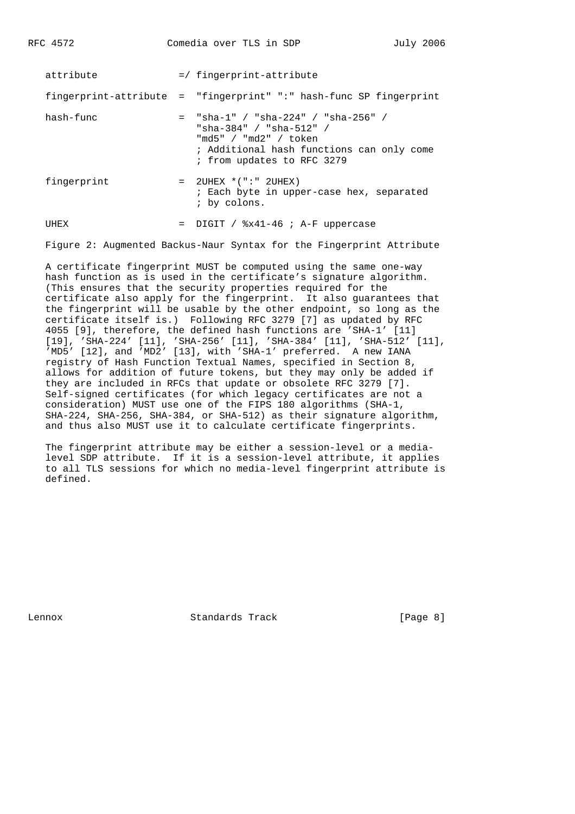| RFC 4572    | Comedia over TLS in SDP                                                                                                                                              | July 2006 |
|-------------|----------------------------------------------------------------------------------------------------------------------------------------------------------------------|-----------|
| attribute   | $=$ fingerprint-attribute                                                                                                                                            |           |
|             | fingerprint-attribute = "fingerprint" ":" hash-func SP fingerprint                                                                                                   |           |
| hash-func   | $=$ "sha-1" / "sha-224" / "sha-256" /<br>"sha-384" / "sha-512" /<br>"md5" / "md2" / token<br>; Additional hash functions can only come<br>; from updates to RFC 3279 |           |
| fingerprint | $=$ 2UHEX $*($ ":" 2UHEX)<br>; Each byte in upper-case hex, separated<br>; by colons.                                                                                |           |
| UHEX        | = $DIST /$ $*x41-46$ ; $A-F$ uppercase                                                                                                                               |           |

Figure 2: Augmented Backus-Naur Syntax for the Fingerprint Attribute

 A certificate fingerprint MUST be computed using the same one-way hash function as is used in the certificate's signature algorithm. (This ensures that the security properties required for the certificate also apply for the fingerprint. It also guarantees that the fingerprint will be usable by the other endpoint, so long as the certificate itself is.) Following RFC 3279 [7] as updated by RFC 4055 [9], therefore, the defined hash functions are 'SHA-1' [11] [19], 'SHA-224' [11], 'SHA-256' [11], 'SHA-384' [11], 'SHA-512' [11], 'MD5' [12], and 'MD2' [13], with 'SHA-1' preferred. A new IANA registry of Hash Function Textual Names, specified in Section 8, allows for addition of future tokens, but they may only be added if they are included in RFCs that update or obsolete RFC 3279 [7]. Self-signed certificates (for which legacy certificates are not a consideration) MUST use one of the FIPS 180 algorithms (SHA-1, SHA-224, SHA-256, SHA-384, or SHA-512) as their signature algorithm, and thus also MUST use it to calculate certificate fingerprints.

 The fingerprint attribute may be either a session-level or a media level SDP attribute. If it is a session-level attribute, it applies to all TLS sessions for which no media-level fingerprint attribute is defined.

Lennox **Standards Track** [Page 8]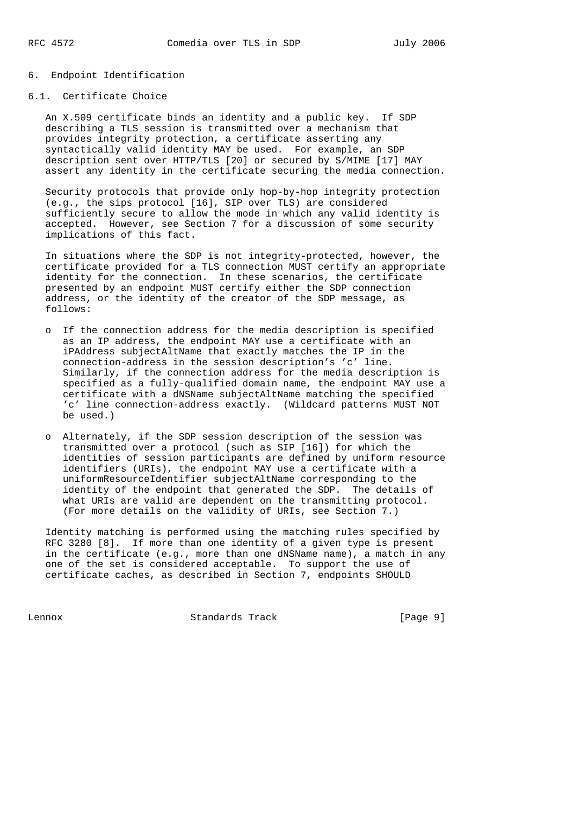## 6. Endpoint Identification

# 6.1. Certificate Choice

 An X.509 certificate binds an identity and a public key. If SDP describing a TLS session is transmitted over a mechanism that provides integrity protection, a certificate asserting any syntactically valid identity MAY be used. For example, an SDP description sent over HTTP/TLS [20] or secured by S/MIME [17] MAY assert any identity in the certificate securing the media connection.

 Security protocols that provide only hop-by-hop integrity protection (e.g., the sips protocol [16], SIP over TLS) are considered sufficiently secure to allow the mode in which any valid identity is accepted. However, see Section 7 for a discussion of some security implications of this fact.

 In situations where the SDP is not integrity-protected, however, the certificate provided for a TLS connection MUST certify an appropriate identity for the connection. In these scenarios, the certificate presented by an endpoint MUST certify either the SDP connection address, or the identity of the creator of the SDP message, as follows:

- o If the connection address for the media description is specified as an IP address, the endpoint MAY use a certificate with an iPAddress subjectAltName that exactly matches the IP in the connection-address in the session description's 'c' line. Similarly, if the connection address for the media description is specified as a fully-qualified domain name, the endpoint MAY use a certificate with a dNSName subjectAltName matching the specified 'c' line connection-address exactly. (Wildcard patterns MUST NOT be used.)
- o Alternately, if the SDP session description of the session was transmitted over a protocol (such as SIP [16]) for which the identities of session participants are defined by uniform resource identifiers (URIs), the endpoint MAY use a certificate with a uniformResourceIdentifier subjectAltName corresponding to the identity of the endpoint that generated the SDP. The details of what URIs are valid are dependent on the transmitting protocol. (For more details on the validity of URIs, see Section 7.)

 Identity matching is performed using the matching rules specified by RFC 3280 [8]. If more than one identity of a given type is present in the certificate (e.g., more than one dNSName name), a match in any one of the set is considered acceptable. To support the use of certificate caches, as described in Section 7, endpoints SHOULD

Lennox Standards Track [Page 9]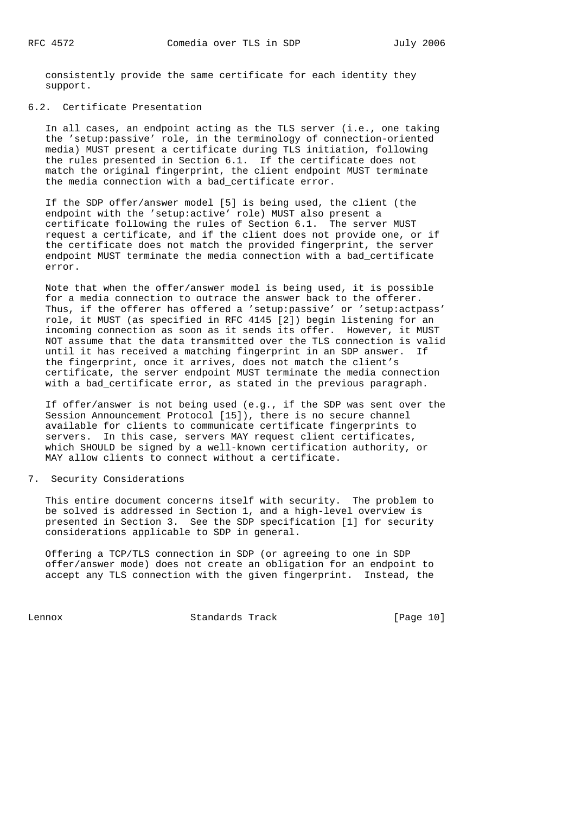consistently provide the same certificate for each identity they support.

## 6.2. Certificate Presentation

 In all cases, an endpoint acting as the TLS server (i.e., one taking the 'setup:passive' role, in the terminology of connection-oriented media) MUST present a certificate during TLS initiation, following the rules presented in Section 6.1. If the certificate does not match the original fingerprint, the client endpoint MUST terminate the media connection with a bad\_certificate error.

 If the SDP offer/answer model [5] is being used, the client (the endpoint with the 'setup:active' role) MUST also present a certificate following the rules of Section 6.1. The server MUST request a certificate, and if the client does not provide one, or if the certificate does not match the provided fingerprint, the server endpoint MUST terminate the media connection with a bad\_certificate error.

 Note that when the offer/answer model is being used, it is possible for a media connection to outrace the answer back to the offerer. Thus, if the offerer has offered a 'setup:passive' or 'setup:actpass' role, it MUST (as specified in RFC 4145 [2]) begin listening for an incoming connection as soon as it sends its offer. However, it MUST NOT assume that the data transmitted over the TLS connection is valid until it has received a matching fingerprint in an SDP answer. If the fingerprint, once it arrives, does not match the client's certificate, the server endpoint MUST terminate the media connection with a bad\_certificate error, as stated in the previous paragraph.

 If offer/answer is not being used (e.g., if the SDP was sent over the Session Announcement Protocol [15]), there is no secure channel available for clients to communicate certificate fingerprints to servers. In this case, servers MAY request client certificates, which SHOULD be signed by a well-known certification authority, or MAY allow clients to connect without a certificate.

## 7. Security Considerations

 This entire document concerns itself with security. The problem to be solved is addressed in Section 1, and a high-level overview is presented in Section 3. See the SDP specification [1] for security considerations applicable to SDP in general.

 Offering a TCP/TLS connection in SDP (or agreeing to one in SDP offer/answer mode) does not create an obligation for an endpoint to accept any TLS connection with the given fingerprint. Instead, the

Lennox Standards Track [Page 10]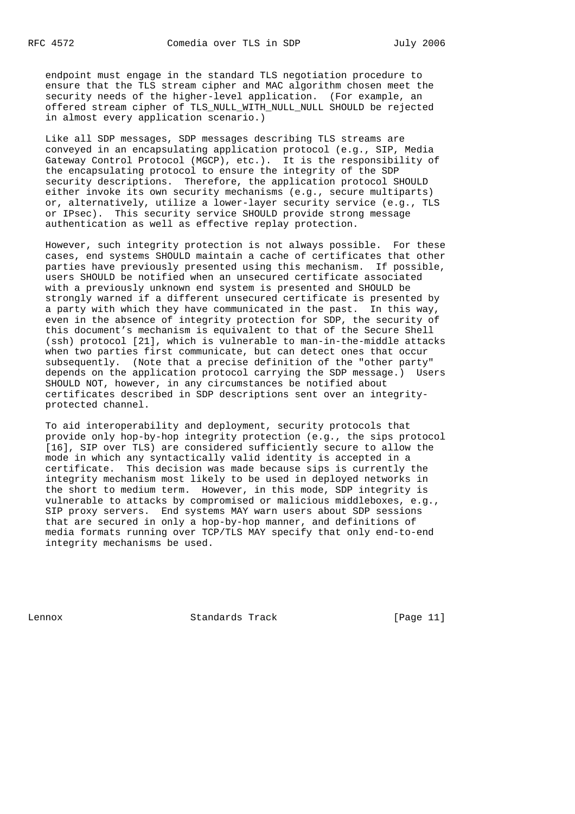endpoint must engage in the standard TLS negotiation procedure to ensure that the TLS stream cipher and MAC algorithm chosen meet the security needs of the higher-level application. (For example, an offered stream cipher of TLS\_NULL\_WITH\_NULL\_NULL SHOULD be rejected in almost every application scenario.)

 Like all SDP messages, SDP messages describing TLS streams are conveyed in an encapsulating application protocol (e.g., SIP, Media Gateway Control Protocol (MGCP), etc.). It is the responsibility of the encapsulating protocol to ensure the integrity of the SDP security descriptions. Therefore, the application protocol SHOULD either invoke its own security mechanisms (e.g., secure multiparts) or, alternatively, utilize a lower-layer security service (e.g., TLS or IPsec). This security service SHOULD provide strong message authentication as well as effective replay protection.

 However, such integrity protection is not always possible. For these cases, end systems SHOULD maintain a cache of certificates that other parties have previously presented using this mechanism. If possible, users SHOULD be notified when an unsecured certificate associated with a previously unknown end system is presented and SHOULD be strongly warned if a different unsecured certificate is presented by a party with which they have communicated in the past. In this way, even in the absence of integrity protection for SDP, the security of this document's mechanism is equivalent to that of the Secure Shell (ssh) protocol [21], which is vulnerable to man-in-the-middle attacks when two parties first communicate, but can detect ones that occur subsequently. (Note that a precise definition of the "other party" depends on the application protocol carrying the SDP message.) Users SHOULD NOT, however, in any circumstances be notified about certificates described in SDP descriptions sent over an integrity protected channel.

 To aid interoperability and deployment, security protocols that provide only hop-by-hop integrity protection (e.g., the sips protocol [16], SIP over TLS) are considered sufficiently secure to allow the mode in which any syntactically valid identity is accepted in a certificate. This decision was made because sips is currently the integrity mechanism most likely to be used in deployed networks in the short to medium term. However, in this mode, SDP integrity is vulnerable to attacks by compromised or malicious middleboxes, e.g., SIP proxy servers. End systems MAY warn users about SDP sessions that are secured in only a hop-by-hop manner, and definitions of media formats running over TCP/TLS MAY specify that only end-to-end integrity mechanisms be used.

Lennox Standards Track [Page 11]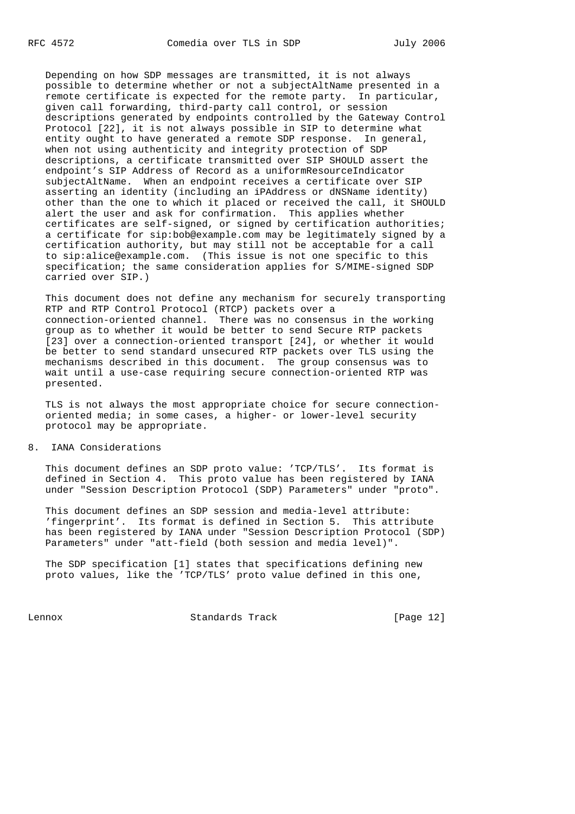Depending on how SDP messages are transmitted, it is not always possible to determine whether or not a subjectAltName presented in a remote certificate is expected for the remote party. In particular, given call forwarding, third-party call control, or session descriptions generated by endpoints controlled by the Gateway Control Protocol [22], it is not always possible in SIP to determine what entity ought to have generated a remote SDP response. In general, when not using authenticity and integrity protection of SDP descriptions, a certificate transmitted over SIP SHOULD assert the endpoint's SIP Address of Record as a uniformResourceIndicator subjectAltName. When an endpoint receives a certificate over SIP asserting an identity (including an iPAddress or dNSName identity) other than the one to which it placed or received the call, it SHOULD alert the user and ask for confirmation. This applies whether certificates are self-signed, or signed by certification authorities; a certificate for sip:bob@example.com may be legitimately signed by a certification authority, but may still not be acceptable for a call to sip:alice@example.com. (This issue is not one specific to this specification; the same consideration applies for S/MIME-signed SDP carried over SIP.)

 This document does not define any mechanism for securely transporting RTP and RTP Control Protocol (RTCP) packets over a connection-oriented channel. There was no consensus in the working group as to whether it would be better to send Secure RTP packets [23] over a connection-oriented transport [24], or whether it would be better to send standard unsecured RTP packets over TLS using the mechanisms described in this document. The group consensus was to wait until a use-case requiring secure connection-oriented RTP was presented.

 TLS is not always the most appropriate choice for secure connection oriented media; in some cases, a higher- or lower-level security protocol may be appropriate.

# 8. IANA Considerations

 This document defines an SDP proto value: 'TCP/TLS'. Its format is defined in Section 4. This proto value has been registered by IANA under "Session Description Protocol (SDP) Parameters" under "proto".

 This document defines an SDP session and media-level attribute: 'fingerprint'. Its format is defined in Section 5. This attribute has been registered by IANA under "Session Description Protocol (SDP) Parameters" under "att-field (both session and media level)".

 The SDP specification [1] states that specifications defining new proto values, like the 'TCP/TLS' proto value defined in this one,

Lennox Standards Track [Page 12]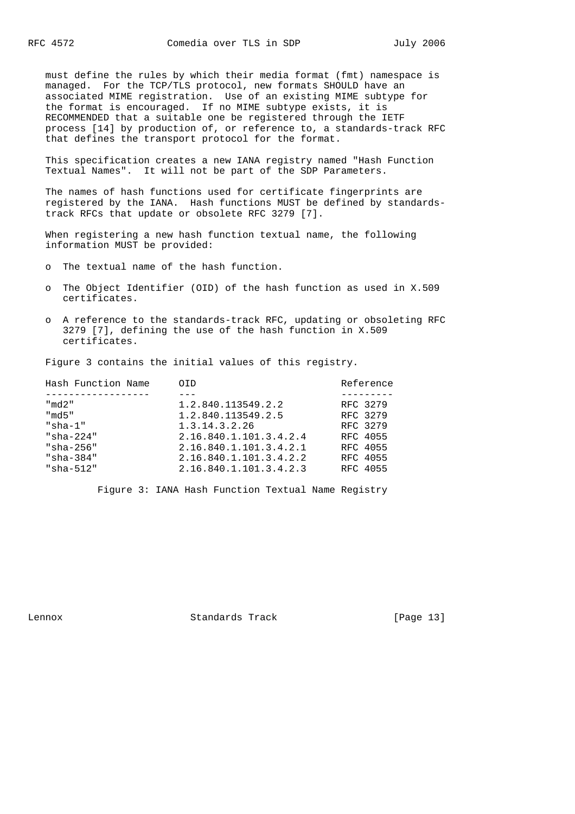must define the rules by which their media format (fmt) namespace is managed. For the TCP/TLS protocol, new formats SHOULD have an associated MIME registration. Use of an existing MIME subtype for the format is encouraged. If no MIME subtype exists, it is RECOMMENDED that a suitable one be registered through the IETF process [14] by production of, or reference to, a standards-track RFC that defines the transport protocol for the format.

 This specification creates a new IANA registry named "Hash Function Textual Names". It will not be part of the SDP Parameters.

 The names of hash functions used for certificate fingerprints are registered by the IANA. Hash functions MUST be defined by standards track RFCs that update or obsolete RFC 3279 [7].

 When registering a new hash function textual name, the following information MUST be provided:

- o The textual name of the hash function.
- o The Object Identifier (OID) of the hash function as used in X.509 certificates.
- o A reference to the standards-track RFC, updating or obsoleting RFC 3279 [7], defining the use of the hash function in X.509 certificates.

Figure 3 contains the initial values of this registry.

| Hash Function Name | OID                    | Reference |
|--------------------|------------------------|-----------|
|                    |                        |           |
| " $md2$ "          | 1.2.840.113549.2.2     | RFC 3279  |
| " $md5$ "          | 1.2.840.113549.2.5     | RFC 3279  |
| $"$ sha-1"         | 1.3.14.3.2.26          | RFC 3279  |
| $"$ sha-224"       | 2.16.840.1.101.3.4.2.4 | RFC 4055  |
| $"$ sha-256"       | 2.16.840.1.101.3.4.2.1 | RFC 4055  |
| " $sha - 384"$     | 2.16.840.1.101.3.4.2.2 | RFC 4055  |
| " $sha-512"$       | 2.16.840.1.101.3.4.2.3 | RFC 4055  |
|                    |                        |           |

Figure 3: IANA Hash Function Textual Name Registry

Lennox Standards Track [Page 13]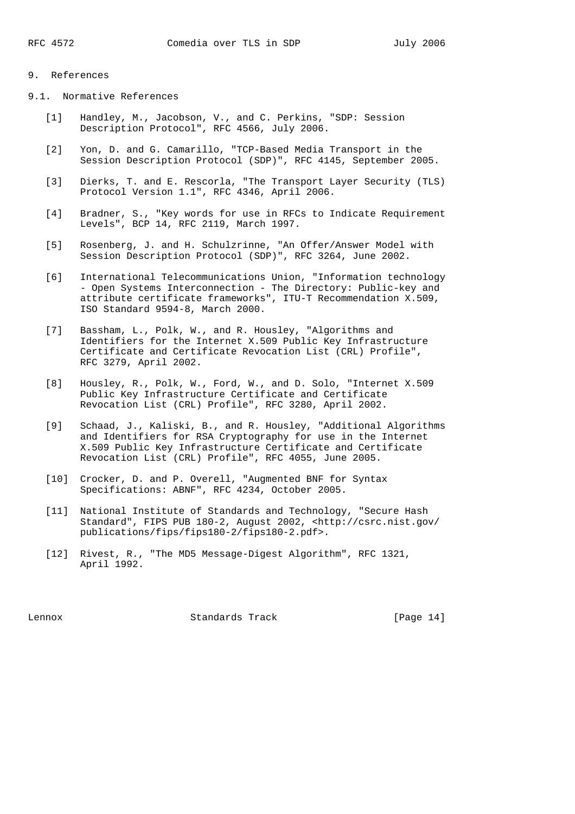# 9. References

- 9.1. Normative References
	- [1] Handley, M., Jacobson, V., and C. Perkins, "SDP: Session Description Protocol", RFC 4566, July 2006.
	- [2] Yon, D. and G. Camarillo, "TCP-Based Media Transport in the Session Description Protocol (SDP)", RFC 4145, September 2005.
	- [3] Dierks, T. and E. Rescorla, "The Transport Layer Security (TLS) Protocol Version 1.1", RFC 4346, April 2006.
	- [4] Bradner, S., "Key words for use in RFCs to Indicate Requirement Levels", BCP 14, RFC 2119, March 1997.
	- [5] Rosenberg, J. and H. Schulzrinne, "An Offer/Answer Model with Session Description Protocol (SDP)", RFC 3264, June 2002.
	- [6] International Telecommunications Union, "Information technology - Open Systems Interconnection - The Directory: Public-key and attribute certificate frameworks", ITU-T Recommendation X.509, ISO Standard 9594-8, March 2000.
	- [7] Bassham, L., Polk, W., and R. Housley, "Algorithms and Identifiers for the Internet X.509 Public Key Infrastructure Certificate and Certificate Revocation List (CRL) Profile", RFC 3279, April 2002.
	- [8] Housley, R., Polk, W., Ford, W., and D. Solo, "Internet X.509 Public Key Infrastructure Certificate and Certificate Revocation List (CRL) Profile", RFC 3280, April 2002.
	- [9] Schaad, J., Kaliski, B., and R. Housley, "Additional Algorithms and Identifiers for RSA Cryptography for use in the Internet X.509 Public Key Infrastructure Certificate and Certificate Revocation List (CRL) Profile", RFC 4055, June 2005.
	- [10] Crocker, D. and P. Overell, "Augmented BNF for Syntax Specifications: ABNF", RFC 4234, October 2005.
	- [11] National Institute of Standards and Technology, "Secure Hash Standard", FIPS PUB 180-2, August 2002, <http://csrc.nist.gov/ publications/fips/fips180-2/fips180-2.pdf>.
	- [12] Rivest, R., "The MD5 Message-Digest Algorithm", RFC 1321, April 1992.

Lennox Standards Track [Page 14]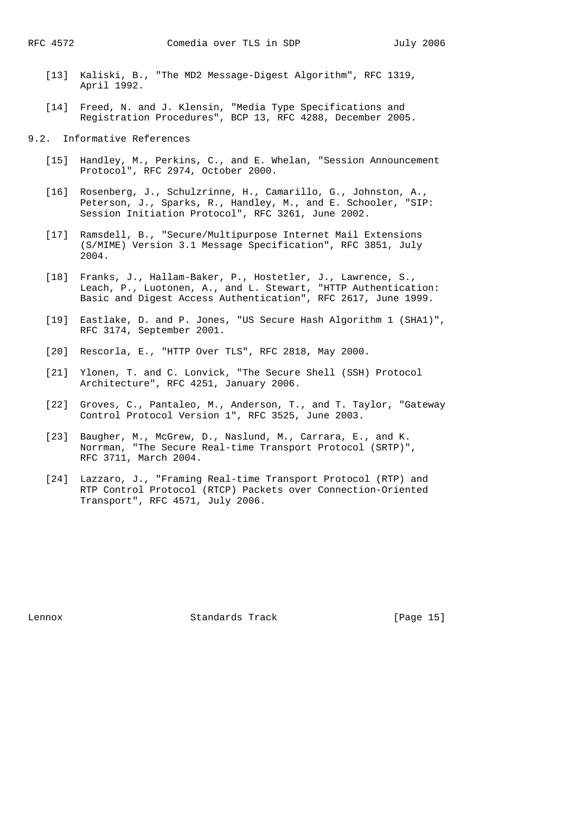- [13] Kaliski, B., "The MD2 Message-Digest Algorithm", RFC 1319, April 1992.
- [14] Freed, N. and J. Klensin, "Media Type Specifications and Registration Procedures", BCP 13, RFC 4288, December 2005.

### 9.2. Informative References

- [15] Handley, M., Perkins, C., and E. Whelan, "Session Announcement Protocol", RFC 2974, October 2000.
- [16] Rosenberg, J., Schulzrinne, H., Camarillo, G., Johnston, A., Peterson, J., Sparks, R., Handley, M., and E. Schooler, "SIP: Session Initiation Protocol", RFC 3261, June 2002.
- [17] Ramsdell, B., "Secure/Multipurpose Internet Mail Extensions (S/MIME) Version 3.1 Message Specification", RFC 3851, July 2004.
- [18] Franks, J., Hallam-Baker, P., Hostetler, J., Lawrence, S., Leach, P., Luotonen, A., and L. Stewart, "HTTP Authentication: Basic and Digest Access Authentication", RFC 2617, June 1999.
	- [19] Eastlake, D. and P. Jones, "US Secure Hash Algorithm 1 (SHA1)", RFC 3174, September 2001.
	- [20] Rescorla, E., "HTTP Over TLS", RFC 2818, May 2000.
	- [21] Ylonen, T. and C. Lonvick, "The Secure Shell (SSH) Protocol Architecture", RFC 4251, January 2006.
	- [22] Groves, C., Pantaleo, M., Anderson, T., and T. Taylor, "Gateway Control Protocol Version 1", RFC 3525, June 2003.
	- [23] Baugher, M., McGrew, D., Naslund, M., Carrara, E., and K. Norrman, "The Secure Real-time Transport Protocol (SRTP)", RFC 3711, March 2004.
	- [24] Lazzaro, J., "Framing Real-time Transport Protocol (RTP) and RTP Control Protocol (RTCP) Packets over Connection-Oriented Transport", RFC 4571, July 2006.

Lennox Standards Track [Page 15]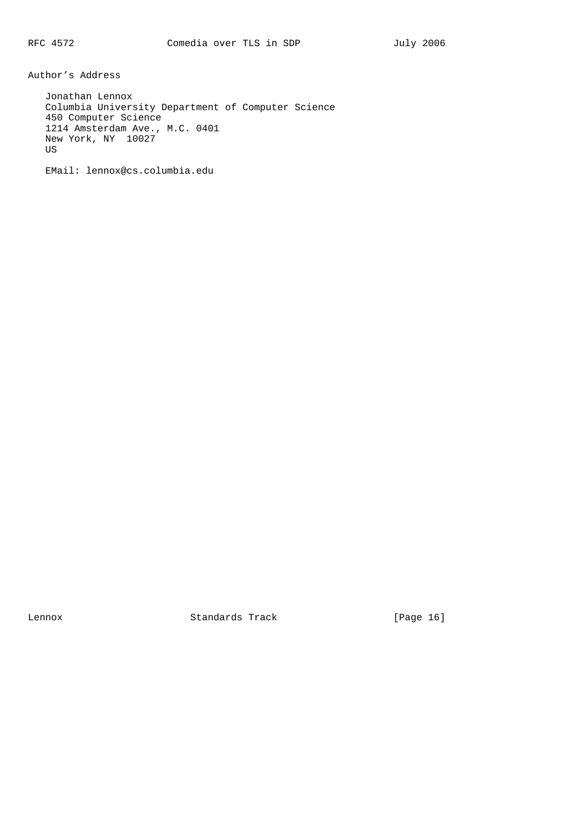Author's Address

 Jonathan Lennox Columbia University Department of Computer Science 450 Computer Science 1214 Amsterdam Ave., M.C. 0401 New York, NY 10027 US

EMail: lennox@cs.columbia.edu

Lennox **Standards Track** [Page 16]